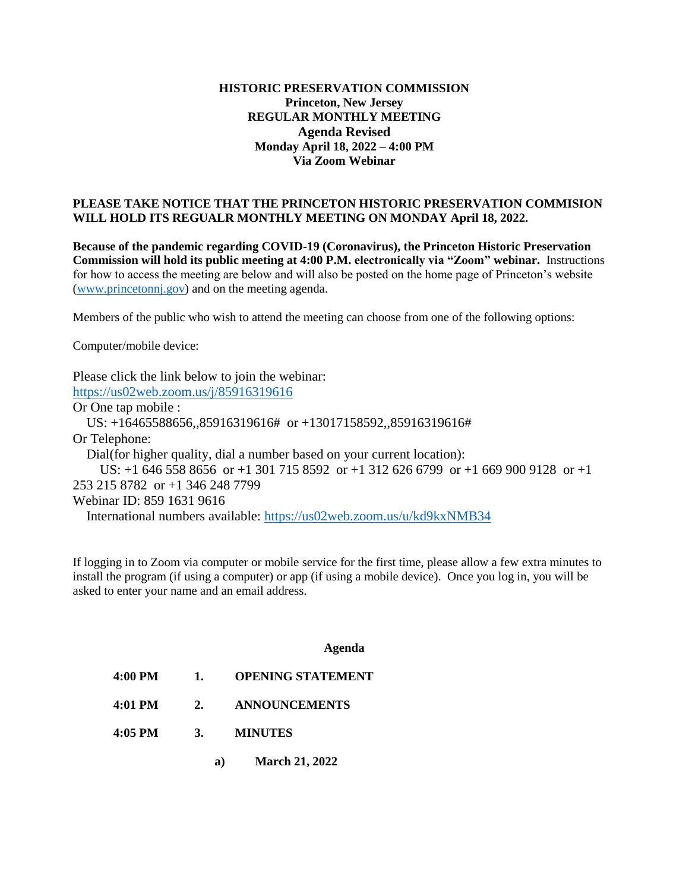## **HISTORIC PRESERVATION COMMISSION Princeton, New Jersey REGULAR MONTHLY MEETING Agenda Revised Monday April 18, 2022 – 4:00 PM Via Zoom Webinar**

## **PLEASE TAKE NOTICE THAT THE PRINCETON HISTORIC PRESERVATION COMMISION WILL HOLD ITS REGUALR MONTHLY MEETING ON MONDAY April 18, 2022.**

**Because of the pandemic regarding COVID-19 (Coronavirus), the Princeton Historic Preservation Commission will hold its public meeting at 4:00 P.M. electronically via "Zoom" webinar.** Instructions for how to access the meeting are below and will also be posted on the home page of Princeton's website [\(www.princetonnj.gov\)](http://www.princetonnj.gov/) and on the meeting agenda.

Members of the public who wish to attend the meeting can choose from one of the following options:

Computer/mobile device:

Please click the link below to join the webinar: <https://us02web.zoom.us/j/85916319616> Or One tap mobile : US: +16465588656,,85916319616# or +13017158592,,85916319616# Or Telephone: Dial(for higher quality, dial a number based on your current location):

 US: +1 646 558 8656 or +1 301 715 8592 or +1 312 626 6799 or +1 669 900 9128 or +1 253 215 8782 or +1 346 248 7799

Webinar ID: 859 1631 9616

International numbers available:<https://us02web.zoom.us/u/kd9kxNMB34>

If logging in to Zoom via computer or mobile service for the first time, please allow a few extra minutes to install the program (if using a computer) or app (if using a mobile device). Once you log in, you will be asked to enter your name and an email address.

## **Agenda**

- **4:00 PM 1. OPENING STATEMENT**
- **4:01 PM 2. ANNOUNCEMENTS**
- **4:05 PM 3. MINUTES**
	- **a) March 21, 2022**